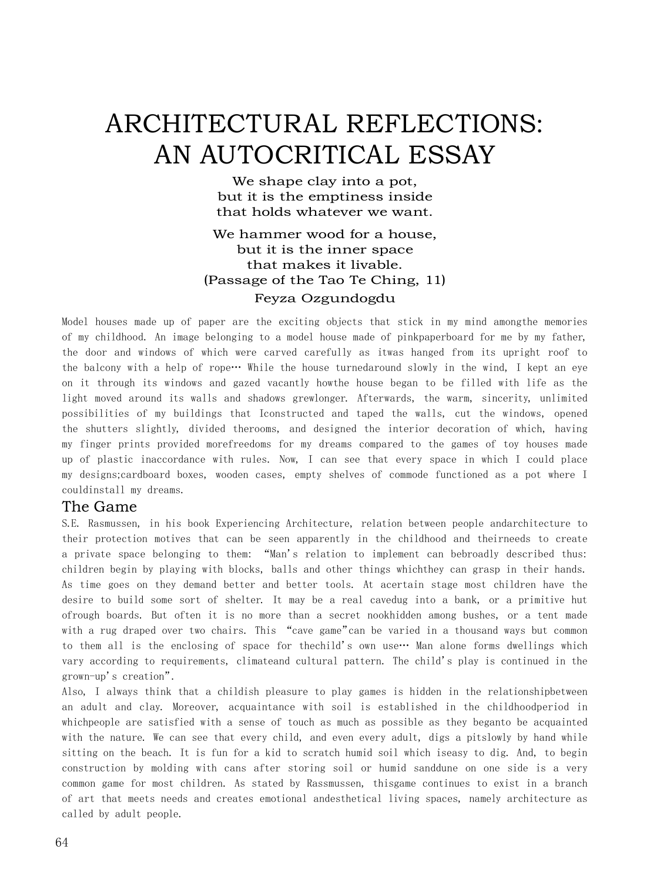# ARCHITECTURAL REFLECTIONS: AN AUTOCRITICAL ESSAY

We shape clay into a pot, but it is the emptiness inside that holds whatever we want.

### We hammer wood for a house, but it is the inner space that makes it livable. (Passage of the Tao Te Ching, 11) Feyza Ozgundogdu

Model houses made up of paper are the exciting objects that stick in my mind amongthe memories of my childhood. An image belonging to a model house made of pinkpaperboard for me by my father, the door and windows of which were carved carefully as itwas hanged from its upright roof to the balcony with a help of rope… While the house turnedaround slowly in the wind, I kept an eye on it through its windows and gazed vacantly howthe house began to be filled with life as the light moved around its walls and shadows grewlonger. Afterwards, the warm, sincerity, unlimited possibilities of my buildings that Iconstructed and taped the walls, cut the windows, opened the shutters slightly, divided therooms, and designed the interior decoration of which, having my finger prints provided morefreedoms for my dreams compared to the games of toy houses made up of plastic inaccordance with rules. Now, I can see that every space in which I could place my designs;cardboard boxes, wooden cases, empty shelves of commode functioned as a pot where I couldinstall my dreams.

#### The Game

S.E. Rasmussen, in his book Experiencing Architecture, relation between people andarchitecture to their protection motives that can be seen apparently in the childhood and theirneeds to create a private space belonging to them: "Man's relation to implement can bebroadly described thus: children begin by playing with blocks, balls and other things whichthey can grasp in their hands. As time goes on they demand better and better tools. At acertain stage most children have the desire to build some sort of shelter. It may be a real cavedug into a bank, or a primitive hut ofrough boards. But often it is no more than a secret nookhidden among bushes, or a tent made with a rug draped over two chairs. This "cave game"can be varied in a thousand ways but common to them all is the enclosing of space for the child's own use… Man alone forms dwellings which vary according to requirements, climateand cultural pattern. The child's play is continued in the grown-up's creation".

Also, I always think that a childish pleasure to play games is hidden in the relationshipbetween an adult and clay. Moreover, acquaintance with soil is established in the childhoodperiod in whichpeople are satisfied with a sense of touch as much as possible as they beganto be acquainted with the nature. We can see that every child, and even every adult, digs a pitslowly by hand while sitting on the beach. It is fun for a kid to scratch humid soil which iseasy to dig. And, to begin construction by molding with cans after storing soil or humid sanddune on one side is a very common game for most children. As stated by Rassmussen, thisgame continues to exist in a branch of art that meets needs and creates emotional andesthetical living spaces, namely architecture as called by adult people.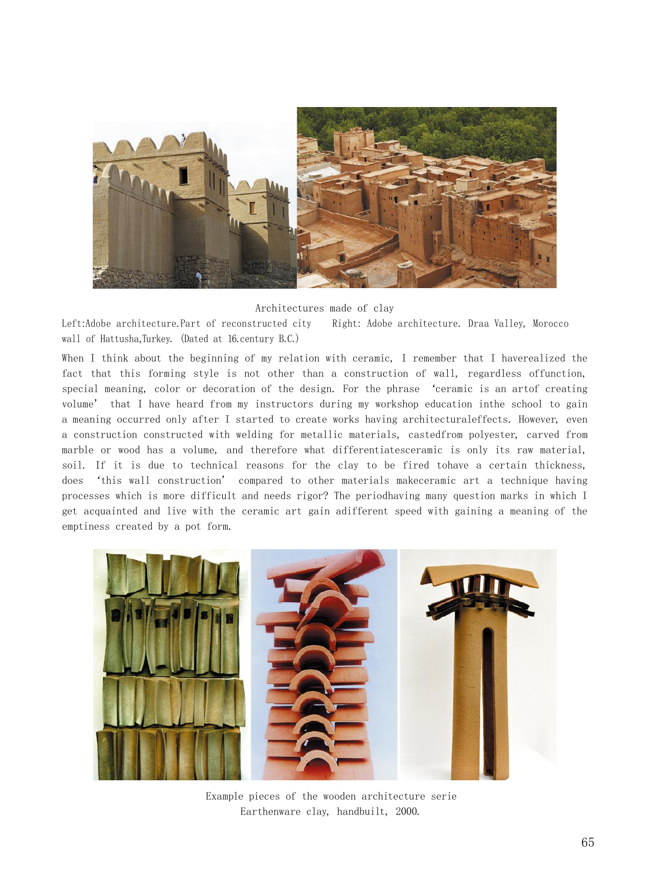

Architectures made of clay

Left:Adobe architecture.Part of reconstructed city Right: Adobe architecture. Draa Valley, Morocco wall of Hattusha,Turkey. (Dated at 16.century B.C.)

When I think about the beginning of my relation with ceramic, I remember that I haverealized the fact that this forming style is not other than a construction of wall, regardless offunction, special meaning, color or decoration of the design. For the phrase 'ceramic is an artof creating volume' that I have heard from my instructors during my workshop education inthe school to gain a meaning occurred only after I started to create works having architecturaleffects. However, even a construction constructed with welding for metallic materials, castedfrom polyester, carved from marble or wood has a volume, and therefore what differentiatesceramic is only its raw material, soil. If it is due to technical reasons for the clay to be fired tohave a certain thickness, does 'this wall construction' compared to other materials makeceramic art a technique having processes which is more difficult and needs rigor? The periodhaving many question marks in which I get acquainted and live with the ceramic art gain adifferent speed with gaining a meaning of the emptiness created by a pot form.



Example pieces of the wooden architecture serie Earthenware clay, handbuilt, 2000.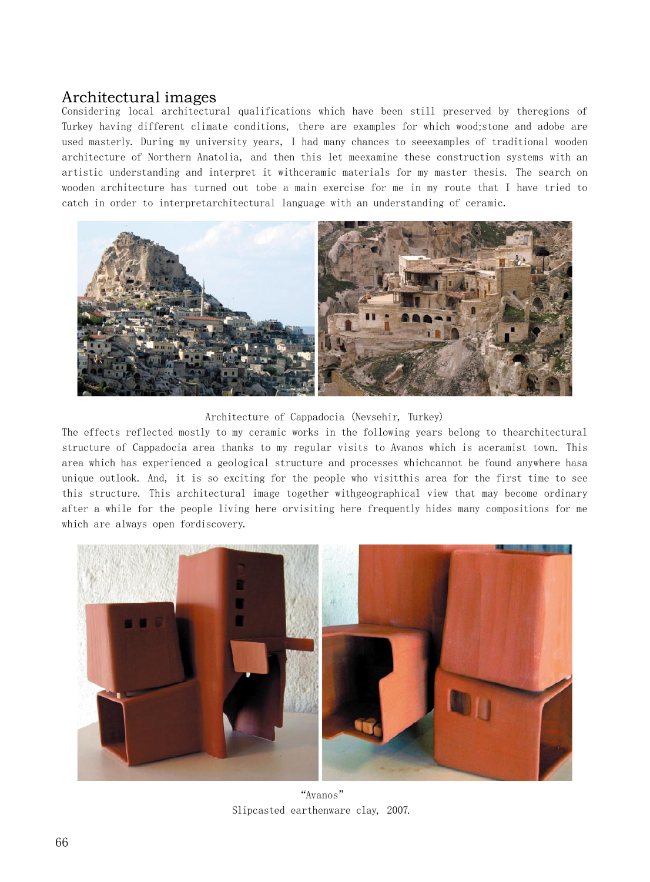## Architectural images

Considering local architectural qualifications which have been still preserved by theregions of Turkey having different climate conditions, there are examples for which wood;stone and adobe are used masterly. During my university years, I had many chances to seeexamples of traditional wooden architecture of Northern Anatolia, and then this let meexamine these construction systems with an artistic understanding and interpret it withceramic materials for my master thesis. The search on wooden architecture has turned out tobe a main exercise for me in my route that I have tried to catch in order to interpretarchitectural language with an understanding of ceramic.



Architecture of Cappadocia (Nevsehir, Turkey)

The effects reflected mostly to my ceramic works in the following years belong to thearchitectural structure of Cappadocia area thanks to my regular visits to Avanos which is aceramist town. This area which has experienced a geological structure and processes whichcannot be found anywhere hasa unique outlook. And, it is so exciting for the people who visitthis area for the first time to see this structure. This architectural image together withgeographical view that may become ordinary after a while for the people living here orvisiting here frequently hides many compositions for me which are always open fordiscovery.



"Avanos" Slipcasted earthenware clay, 2007.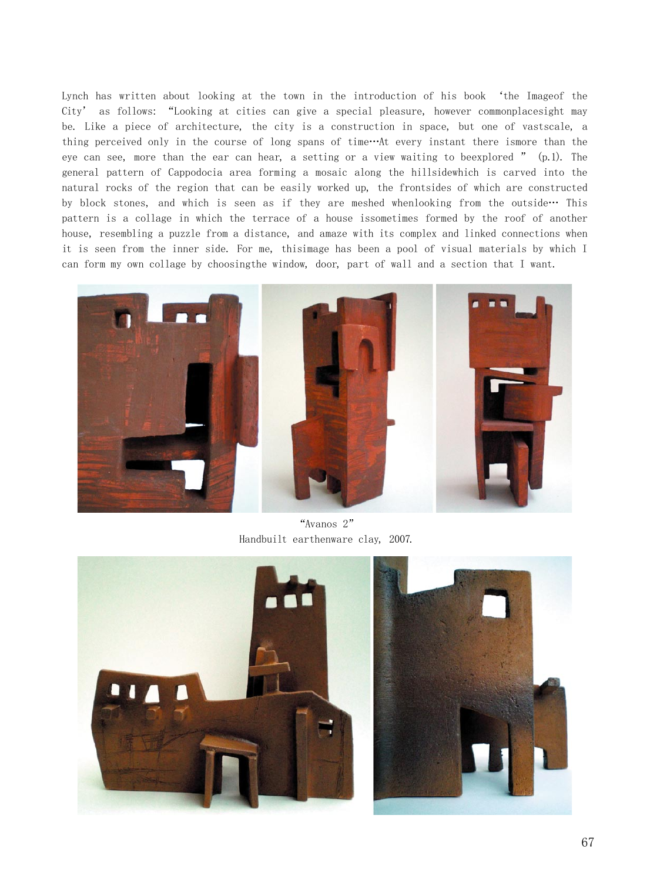Lynch has written about looking at the town in the introduction of his book 'the Imageof the City' as follows: "Looking at cities can give a special pleasure, however commonplacesight may be. Like a piece of architecture, the city is a construction in space, but one of vastscale, a thing perceived only in the course of long spans of time…At every instant there ismore than the eye can see, more than the ear can hear, a setting or a view waiting to beexplored " (p.1). The general pattern of Cappodocia area forming a mosaic along the hillsidewhich is carved into the natural rocks of the region that can be easily worked up, the frontsides of which are constructed by block stones, and which is seen as if they are meshed whenlooking from the outside… This pattern is a collage in which the terrace of a house issometimes formed by the roof of another house, resembling a puzzle from a distance, and amaze with its complex and linked connections when it is seen from the inner side. For me, thisimage has been a pool of visual materials by which I can form my own collage by choosingthe window, door, part of wall and a section that I want.



"Avanos 2" Handbuilt earthenware clay, 2007.